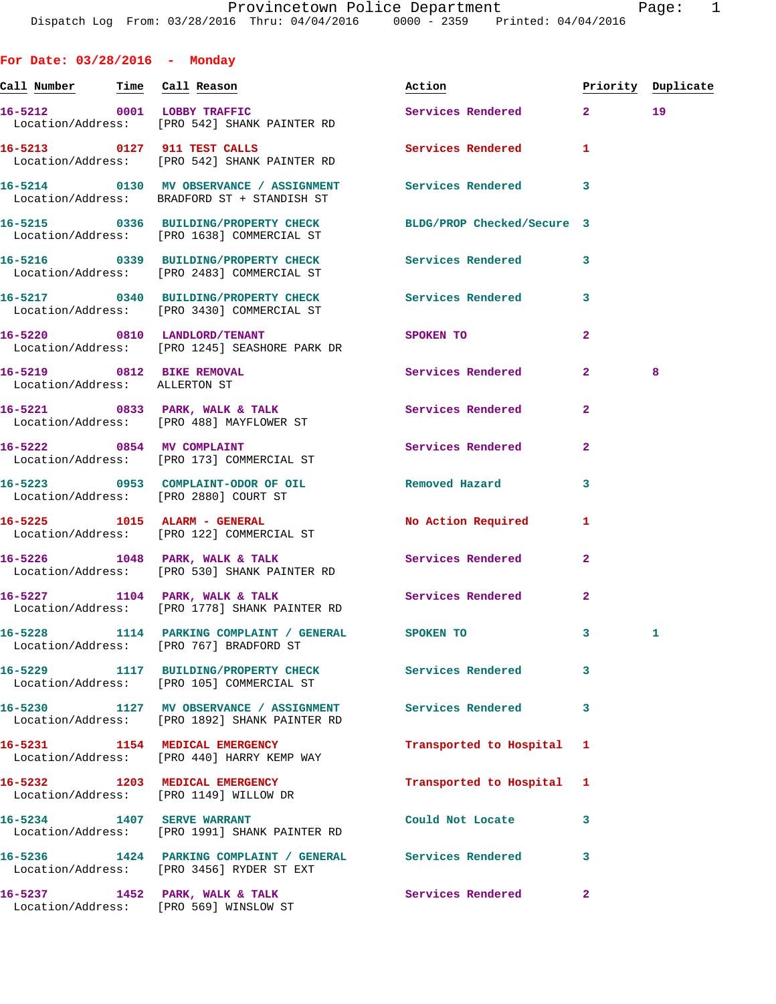**For Date: 03/28/2016 - Monday Call Number Time Call Reason Action Priority Duplicate 16-5212 0001 LOBBY TRAFFIC Services Rendered 2 19**  Location/Address: [PRO 542] SHANK PAINTER RD **16-5213 0127 911 TEST CALLS Services Rendered 1**  Location/Address: [PRO 542] SHANK PAINTER RD **16-5214 0130 MV OBSERVANCE / ASSIGNMENT Services Rendered 3**  Location/Address: BRADFORD ST + STANDISH ST **16-5215 0336 BUILDING/PROPERTY CHECK BLDG/PROP Checked/Secure 3**  Location/Address: [PRO 1638] COMMERCIAL ST **16-5216 0339 BUILDING/PROPERTY CHECK Services Rendered 3**  Location/Address: [PRO 2483] COMMERCIAL ST **16-5217 0340 BUILDING/PROPERTY CHECK Services Rendered 3**  Location/Address: [PRO 3430] COMMERCIAL ST **16-5220 0810 LANDLORD/TENANT SPOKEN TO 2**  Location/Address: [PRO 1245] SEASHORE PARK DR **16-5219 0812 BIKE REMOVAL Services Rendered 2 8**  Location/Address: ALLERTON ST **16-5221 0833 PARK, WALK & TALK Services Rendered 2**  Location/Address: [PRO 488] MAYFLOWER ST **16-5222 0854 MV COMPLAINT Services Rendered 2**  Location/Address: [PRO 173] COMMERCIAL ST **16-5223 0953 COMPLAINT-ODOR OF OIL Removed Hazard 3**  Location/Address: [PRO 2880] COURT ST **16-5225 1015 ALARM - GENERAL No Action Required 1**  Location/Address: [PRO 122] COMMERCIAL ST **16-5226 1048 PARK, WALK & TALK Services Rendered 2**  Location/Address: [PRO 530] SHANK PAINTER RD 16-5227 1104 PARK, WALK & TALK Services Rendered 2 Location/Address: [PRO 1778] SHANK PAINTER RD **16-5228 1114 PARKING COMPLAINT / GENERAL SPOKEN TO 3 1**  Location/Address: [PRO 767] BRADFORD ST **16-5229 1117 BUILDING/PROPERTY CHECK Services Rendered 3**  Location/Address: [PRO 105] COMMERCIAL ST **16-5230 1127 MV OBSERVANCE / ASSIGNMENT Services Rendered 3**  Location/Address: [PRO 1892] SHANK PAINTER RD **16-5231 1154 MEDICAL EMERGENCY Transported to Hospital 1**  Location/Address: [PRO 440] HARRY KEMP WAY **16-5232 1203 MEDICAL EMERGENCY Transported to Hospital 1**  Location/Address: [PRO 1149] WILLOW DR **16-5234 1407 SERVE WARRANT Could Not Locate 3**  Location/Address: [PRO 1991] SHANK PAINTER RD **16-5236 1424 PARKING COMPLAINT / GENERAL Services Rendered 3**  Location/Address: [PRO 3456] RYDER ST EXT

16-5237 **1452 PARK, WALK & TALK Services Rendered** 2 Location/Address: [PRO 569] WINSLOW ST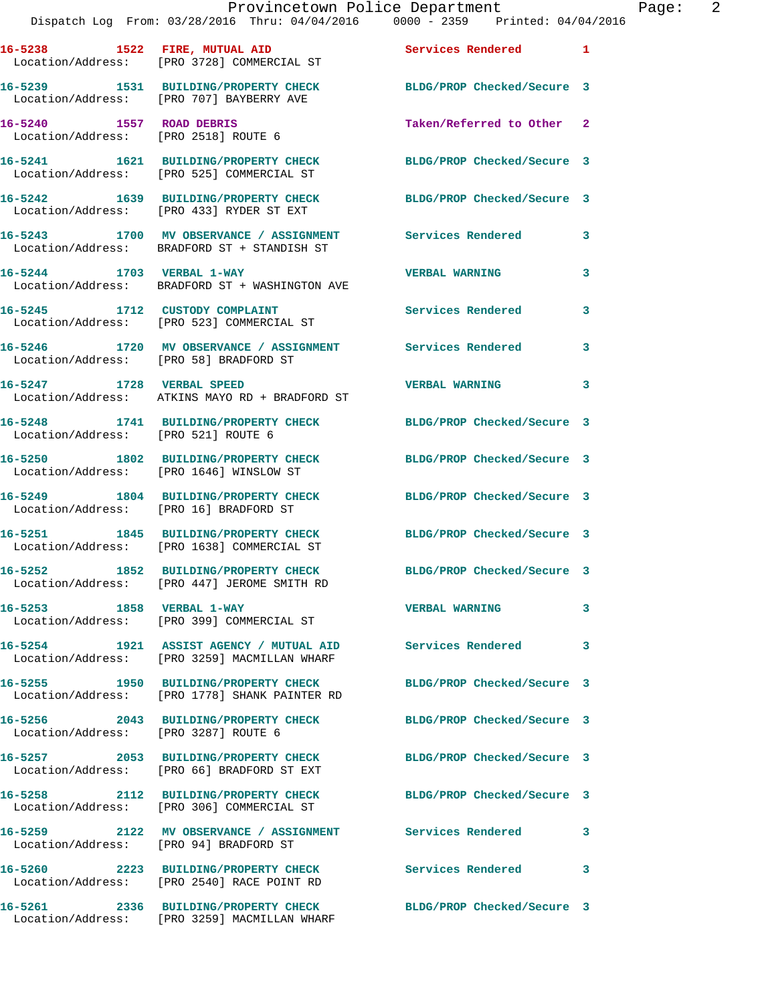|                                        | Provincetown Police Department<br>Dispatch Log From: 03/28/2016 Thru: 04/04/2016 0000 - 2359 Printed: 04/04/2016 |                            | Page: 2 |
|----------------------------------------|------------------------------------------------------------------------------------------------------------------|----------------------------|---------|
|                                        | 16-5238 1522 FIRE, MUTUAL AID 3ervices Rendered 1<br>Location/Address: [PRO 3728] COMMERCIAL ST                  |                            |         |
|                                        | 16-5239 1531 BUILDING/PROPERTY CHECK BLDG/PROP Checked/Secure 3<br>Location/Address: [PRO 707] BAYBERRY AVE      |                            |         |
|                                        | 16-5240 1557 ROAD DEBRIS<br>Location/Address: [PRO 2518] ROUTE 6                                                 | Taken/Referred to Other 2  |         |
|                                        | 16-5241 1621 BUILDING/PROPERTY CHECK BLDG/PROP Checked/Secure 3<br>Location/Address: [PRO 525] COMMERCIAL ST     |                            |         |
|                                        | 16-5242 1639 BUILDING/PROPERTY CHECK BLDG/PROP Checked/Secure 3<br>Location/Address: [PRO 433] RYDER ST EXT      |                            |         |
|                                        | 16-5243 1700 MV OBSERVANCE / ASSIGNMENT Services Rendered<br>Location/Address: BRADFORD ST + STANDISH ST         |                            | 3       |
|                                        | 16-5244 1703 VERBAL 1-WAY<br>Location/Address: BRADFORD ST + WASHINGTON AVE                                      | <b>VERBAL WARNING</b>      | 3       |
|                                        | 16-5245 1712 CUSTODY COMPLAINT<br>Location/Address: [PRO 523] COMMERCIAL ST                                      | Services Rendered          | 3       |
| Location/Address: [PRO 58] BRADFORD ST | 16-5246 1720 MV OBSERVANCE / ASSIGNMENT Services Rendered 3                                                      |                            |         |
|                                        | 16-5247 1728 VERBAL SPEED<br>Location/Address: ATKINS MAYO RD + BRADFORD ST                                      | <b>VERBAL WARNING</b>      | 3       |
| Location/Address: [PRO 521] ROUTE 6    | 16-5248 1741 BUILDING/PROPERTY CHECK BLDG/PROP Checked/Secure 3                                                  |                            |         |
|                                        | 16-5250 1802 BUILDING/PROPERTY CHECK BLDG/PROP Checked/Secure 3<br>Location/Address: [PRO 1646] WINSLOW ST       |                            |         |
|                                        | 16-5249 1804 BUILDING/PROPERTY CHECK BLDG/PROP Checked/Secure 3<br>Location/Address: [PRO 16] BRADFORD ST        |                            |         |
|                                        | 16-5251 1845 BUILDING/PROPERTY CHECK BLDG/PROP Checked/Secure 3<br>Location/Address: [PRO 1638] COMMERCIAL ST    |                            |         |
|                                        | 16-5252 1852 BUILDING/PROPERTY CHECK<br>Location/Address: [PRO 447] JEROME SMITH RD                              | BLDG/PROP Checked/Secure 3 |         |
|                                        | 16-5253 1858 VERBAL 1-WAY<br>Location/Address: [PRO 399] COMMERCIAL ST                                           | <b>VERBAL WARNING</b>      | 3       |
|                                        | 16-5254 1921 ASSIST AGENCY / MUTUAL AID Services Rendered<br>Location/Address: [PRO 3259] MACMILLAN WHARF        |                            | 3       |
|                                        | 16-5255 1950 BUILDING/PROPERTY CHECK<br>Location/Address: [PRO 1778] SHANK PAINTER RD                            | BLDG/PROP Checked/Secure 3 |         |
| Location/Address: [PRO 3287] ROUTE 6   | 16-5256 2043 BUILDING/PROPERTY CHECK BLDG/PROP Checked/Secure 3                                                  |                            |         |
|                                        | 16-5257 2053 BUILDING/PROPERTY CHECK<br>Location/Address: [PRO 66] BRADFORD ST EXT                               | BLDG/PROP Checked/Secure 3 |         |
|                                        | 16-5258 2112 BUILDING/PROPERTY CHECK BLDG/PROP Checked/Secure 3<br>Location/Address: [PRO 306] COMMERCIAL ST     |                            |         |
|                                        | 16-5259 2122 MV OBSERVANCE / ASSIGNMENT Services Rendered<br>Location/Address: [PRO 94] BRADFORD ST              |                            | 3       |
|                                        | 16-5260 2223 BUILDING/PROPERTY CHECK<br>Location/Address: [PRO 2540] RACE POINT RD                               | Services Rendered          | 3       |
|                                        | 16-5261 2336 BUILDING/PROPERTY CHECK BLDG/PROP Checked/Secure 3                                                  |                            |         |

Location/Address: [PRO 3259] MACMILLAN WHARF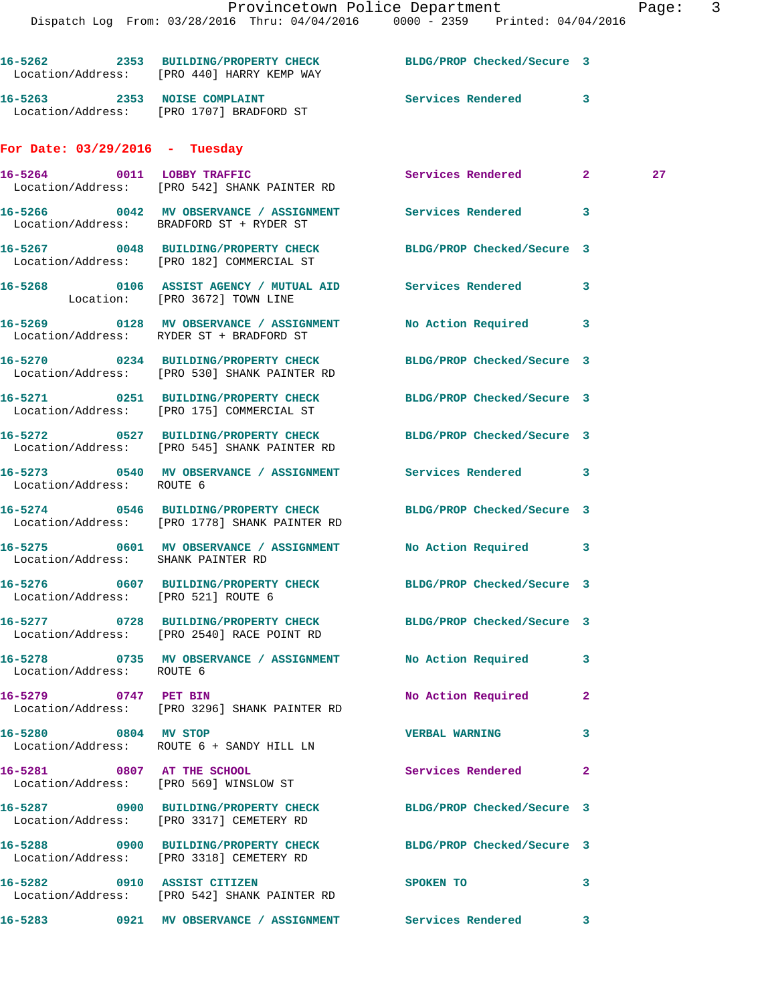|                                     | Provincetown Police Department<br>Dispatch Log From: 03/28/2016 Thru: 04/04/2016 0000 - 2359 Printed: 04/04/2016 |                            |   | Page |
|-------------------------------------|------------------------------------------------------------------------------------------------------------------|----------------------------|---|------|
|                                     | 16-5262 2353 BUILDING/PROPERTY CHECK BLDG/PROP Checked/Secure 3<br>Location/Address: [PRO 440] HARRY KEMP WAY    |                            |   |      |
|                                     | 16-5263 2353 NOISE COMPLAINT<br>Location/Address: [PRO 1707] BRADFORD ST                                         | Services Rendered 3        |   |      |
| For Date: $03/29/2016$ - Tuesday    |                                                                                                                  |                            |   |      |
|                                     | 16-5264 0011 LOBBY TRAFFIC<br>Location/Address: [PRO 542] SHANK PAINTER RD                                       | Services Rendered 2        |   | 27   |
|                                     | 16-5266 60042 MV OBSERVANCE / ASSIGNMENT Services Rendered<br>Location/Address: BRADFORD ST + RYDER ST           |                            | 3 |      |
|                                     | 16-5267 0048 BUILDING/PROPERTY CHECK BLDG/PROP Checked/Secure 3<br>Location/Address: [PRO 182] COMMERCIAL ST     |                            |   |      |
| Location: [PRO 3672] TOWN LINE      |                                                                                                                  |                            |   |      |
|                                     | 16-5269 0128 MV OBSERVANCE / ASSIGNMENT No Action Required 3<br>Location/Address: RYDER ST + BRADFORD ST         |                            |   |      |
|                                     | 16-5270 0234 BUILDING/PROPERTY CHECK BLDG/PROP Checked/Secure 3<br>Location/Address: [PRO 530] SHANK PAINTER RD  |                            |   |      |
|                                     | 16-5271 0251 BUILDING/PROPERTY CHECK BLDG/PROP Checked/Secure 3<br>Location/Address: [PRO 175] COMMERCIAL ST     |                            |   |      |
|                                     | 16-5272 0527 BUILDING/PROPERTY CHECK BLDG/PROP Checked/Secure 3<br>Location/Address: [PRO 545] SHANK PAINTER RD  |                            |   |      |
| Location/Address: ROUTE 6           | 16-5273 0540 MV OBSERVANCE / ASSIGNMENT Services Rendered 3                                                      |                            |   |      |
|                                     | 16-5274 0546 BUILDING/PROPERTY CHECK BLDG/PROP Checked/Secure 3<br>Location/Address: [PRO 1778] SHANK PAINTER RD |                            |   |      |
| Location/Address: SHANK PAINTER RD  | 16-5275 0601 MV OBSERVANCE / ASSIGNMENT No Action Required 3                                                     |                            |   |      |
| Location/Address: [PRO 521] ROUTE 6 | 16-5276 0607 BUILDING/PROPERTY CHECK                                                                             | BLDG/PROP Checked/Secure 3 |   |      |
|                                     | 16-5277 0728 BUILDING/PROPERTY CHECK<br>Location/Address: [PRO 2540] RACE POINT RD                               | BLDG/PROP Checked/Secure 3 |   |      |
| Location/Address: ROUTE 6           | 16-5278 0735 MV OBSERVANCE / ASSIGNMENT No Action Required                                                       |                            | з |      |
| 0747 PET BIN<br>16-5279             | Location/Address: [PRO 3296] SHANK PAINTER RD                                                                    | No Action Required         | 2 |      |

**16-5280 0804 MV STOP VERBAL WARNING 3**  Location/Address: ROUTE 6 + SANDY HILL LN

Location/Address: [PRO 569] WINSLOW ST

**16-5287 0900 BUILDING/PROPERTY CHECK BLDG/PROP Checked/Secure 3** 

**16-5281 0807 AT THE SCHOOL Services Rendered 2** 

Location/Address: [PRO 3317] CEMETERY RD

**16-5288 0900 BUILDING/PROPERTY CHECK BLDG/PROP Checked/Secure 3**  Location/Address: [PRO 3318] CEMETERY RD

**16-5282 0910 ASSIST CITIZEN SPOKEN TO 3**  Location/Address: [PRO 542] SHANK PAINTER RD

**16-5283 0921 MV OBSERVANCE / ASSIGNMENT Services Rendered 3**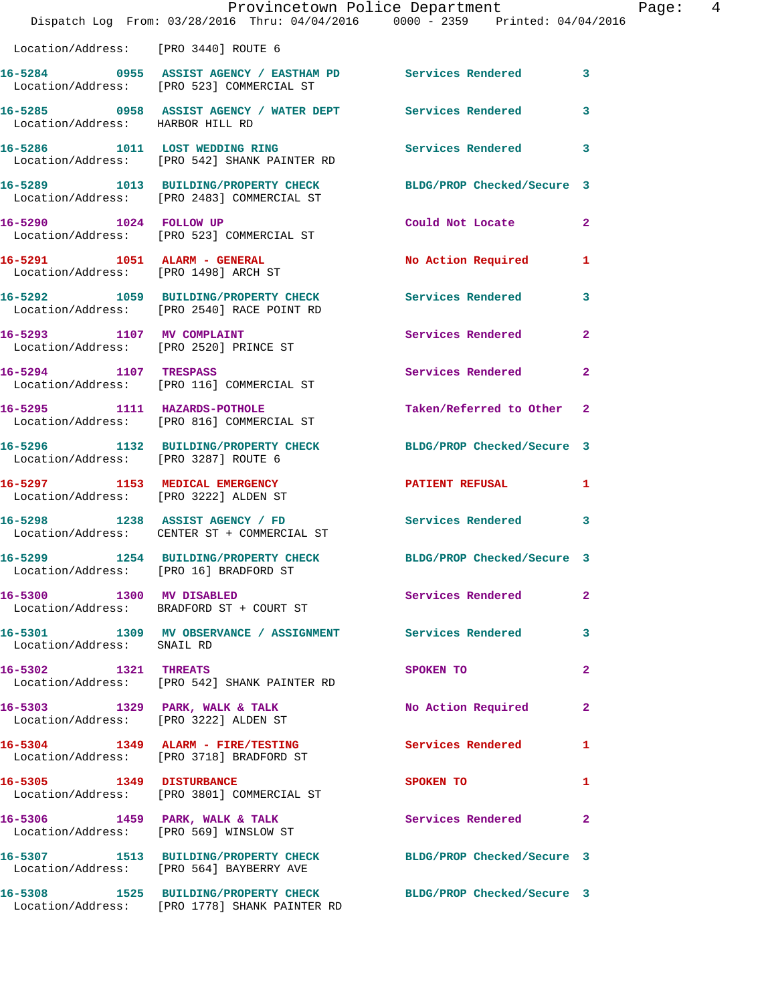|                                                                         | Provincetown Police Department<br>Dispatch Log From: 03/28/2016 Thru: 04/04/2016 0000 - 2359 Printed: 04/04/2016  |                            |                |
|-------------------------------------------------------------------------|-------------------------------------------------------------------------------------------------------------------|----------------------------|----------------|
| Location/Address: [PRO 3440] ROUTE 6                                    |                                                                                                                   |                            |                |
|                                                                         | 16-5284     0955 ASSIST AGENCY / EASTHAM PD      Services Rendered<br>Location/Address:   [PRO 523] COMMERCIAL ST |                            | 3              |
| Location/Address: HARBOR HILL RD                                        | 16-5285 0958 ASSIST AGENCY / WATER DEPT Services Rendered                                                         |                            | 3              |
|                                                                         | 16-5286 1011 LOST WEDDING RING<br>Location/Address: [PRO 542] SHANK PAINTER RD                                    | Services Rendered          | 3              |
|                                                                         | 16-5289 1013 BUILDING/PROPERTY CHECK<br>Location/Address: [PRO 2483] COMMERCIAL ST                                | BLDG/PROP Checked/Secure 3 |                |
| 16-5290 1024 FOLLOW UP                                                  | Location/Address: [PRO 523] COMMERCIAL ST                                                                         | Could Not Locate           | $\mathbf{2}$   |
| 16-5291 1051 ALARM - GENERAL<br>Location/Address: [PRO 1498] ARCH ST    |                                                                                                                   | No Action Required         | 1              |
|                                                                         | 16-5292 1059 BUILDING/PROPERTY CHECK<br>Location/Address: [PRO 2540] RACE POINT RD                                | <b>Services Rendered</b>   | 3              |
| 16-5293 1107 MV COMPLAINT                                               | Location/Address: [PRO 2520] PRINCE ST                                                                            | Services Rendered          | $\mathbf{2}$   |
| 16-5294 1107 TRESPASS                                                   | Location/Address: [PRO 116] COMMERCIAL ST                                                                         | Services Rendered          | $\mathbf{2}$   |
|                                                                         | 16-5295 1111 HAZARDS-POTHOLE<br>Location/Address: [PRO 816] COMMERCIAL ST                                         | Taken/Referred to Other    | $\mathbf{2}$   |
| Location/Address: [PRO 3287] ROUTE 6                                    | 16-5296 1132 BUILDING/PROPERTY CHECK                                                                              | BLDG/PROP Checked/Secure 3 |                |
| 16-5297 1153 MEDICAL EMERGENCY<br>Location/Address: [PRO 3222] ALDEN ST |                                                                                                                   | <b>PATIENT REFUSAL</b>     | 1              |
|                                                                         | 16-5298 1238 ASSIST AGENCY / FD<br>Location/Address: CENTER ST + COMMERCIAL ST                                    | Services Rendered          | 3              |
|                                                                         | 16-5299 1254 BUILDING/PROPERTY CHECK BLDG/PROP Checked/Secure 3<br>Location/Address: [PRO 16] BRADFORD ST         |                            |                |
| 16-5300 1300 MV DISABLED                                                | Location/Address: BRADFORD ST + COURT ST                                                                          | Services Rendered          | $\mathbf{2}$   |
| Location/Address: SNAIL RD                                              | 16-5301 1309 MV OBSERVANCE / ASSIGNMENT Services Rendered                                                         |                            | 3              |
| 16-5302 1321 THREATS                                                    | Location/Address: [PRO 542] SHANK PAINTER RD                                                                      | SPOKEN TO                  | $\overline{a}$ |
| Location/Address: [PRO 3222] ALDEN ST                                   | 16-5303 1329 PARK, WALK & TALK                                                                                    | No Action Required         | 2              |
|                                                                         | 16-5304 1349 ALARM - FIRE/TESTING<br>Location/Address: [PRO 3718] BRADFORD ST                                     | <b>Services Rendered</b>   | 1              |
|                                                                         | 16-5305 1349 DISTURBANCE<br>Location/Address: [PRO 3801] COMMERCIAL ST                                            | SPOKEN TO                  | 1              |
|                                                                         | 16-5306 1459 PARK, WALK & TALK<br>Location/Address: [PRO 569] WINSLOW ST                                          | Services Rendered          | $\mathbf{2}$   |
|                                                                         | 16-5307 1513 BUILDING/PROPERTY CHECK<br>Location/Address: [PRO 564] BAYBERRY AVE                                  | BLDG/PROP Checked/Secure 3 |                |
|                                                                         | 16-5308 1525 BUILDING/PROPERTY CHECK<br>Location/Address: [PRO 1778] SHANK PAINTER RD                             | BLDG/PROP Checked/Secure 3 |                |

Page: 4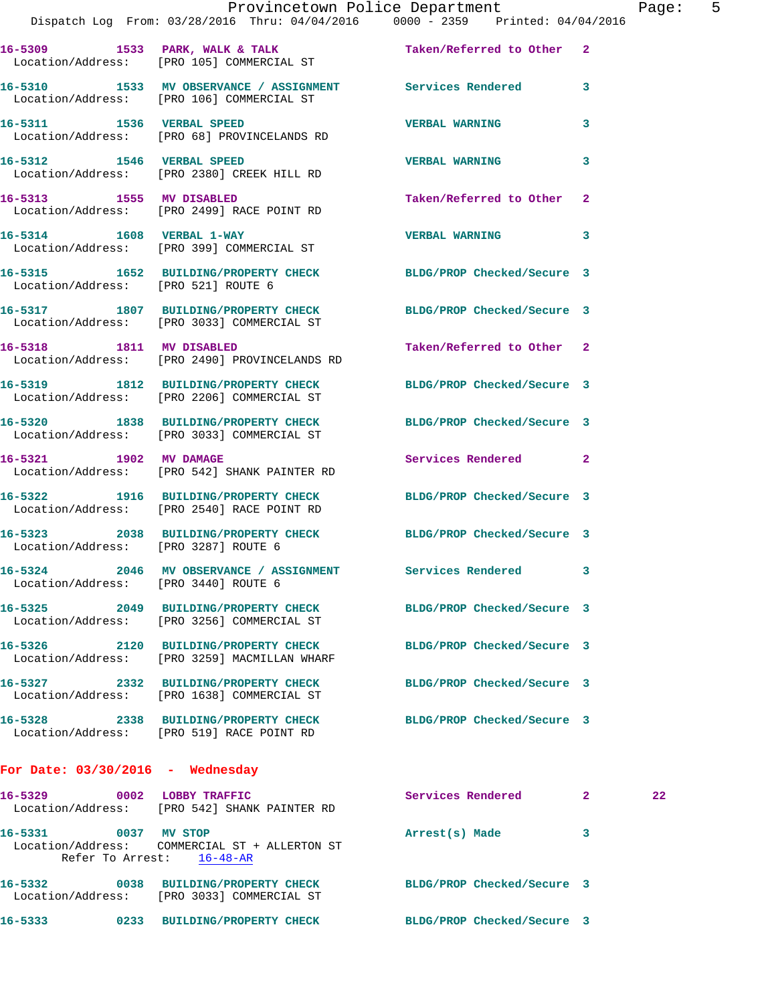|                                      | Dispatch Log From: 03/28/2016 Thru: 04/04/2016 0000 - 2359 Printed: 04/04/2016                                | Provincetown Police Department |              | Page: 5 |  |
|--------------------------------------|---------------------------------------------------------------------------------------------------------------|--------------------------------|--------------|---------|--|
|                                      | 16-5309 1533 PARK, WALK & TALK 1988 Taken/Referred to Other 2<br>Location/Address: [PRO 105] COMMERCIAL ST    |                                |              |         |  |
|                                      | 16-5310 1533 MV OBSERVANCE / ASSIGNMENT Services Rendered 3<br>Location/Address: [PRO 106] COMMERCIAL ST      |                                |              |         |  |
|                                      | 16-5311 1536 VERBAL SPEED<br>Location/Address: [PRO 68] PROVINCELANDS RD                                      | <b>VERBAL WARNING</b>          | 3            |         |  |
|                                      | 16-5312 1546 VERBAL SPEED<br>Location/Address: [PRO 2380] CREEK HILL RD                                       | VERBAL WARNING 3               |              |         |  |
|                                      | 16-5313 1555 MV DISABLED<br>Location/Address: [PRO 2499] RACE POINT RD                                        | Taken/Referred to Other 2      |              |         |  |
|                                      | 16-5314 1608 VERBAL 1-WAY<br>Location/Address: [PRO 399] COMMERCIAL ST                                        | VERBAL WARNING 3               |              |         |  |
|                                      | 16-5315 1652 BUILDING/PROPERTY CHECK BLDG/PROP Checked/Secure 3<br>Location/Address: [PRO 521] ROUTE 6        |                                |              |         |  |
|                                      | 16-5317 1807 BUILDING/PROPERTY CHECK BLDG/PROP Checked/Secure 3<br>Location/Address: [PRO 3033] COMMERCIAL ST |                                |              |         |  |
|                                      | 16-5318 1811 MV DISABLED<br>Location/Address: [PRO 2490] PROVINCELANDS RD                                     | Taken/Referred to Other 2      |              |         |  |
|                                      | 16-5319 1812 BUILDING/PROPERTY CHECK BLDG/PROP Checked/Secure 3<br>Location/Address: [PRO 2206] COMMERCIAL ST |                                |              |         |  |
|                                      | 16-5320 1838 BUILDING/PROPERTY CHECK<br>Location/Address: [PRO 3033] COMMERCIAL ST                            | BLDG/PROP Checked/Secure 3     |              |         |  |
|                                      | 16-5321 1902 MV DAMAGE<br>Location/Address: [PRO 542] SHANK PAINTER RD                                        | Services Rendered 2            |              |         |  |
|                                      | 16-5322 1916 BUILDING/PROPERTY CHECK<br>Location/Address: [PRO 2540] RACE POINT RD                            | BLDG/PROP Checked/Secure 3     |              |         |  |
| Location/Address: [PRO 3287] ROUTE 6 | 16-5323 2038 BUILDING/PROPERTY CHECK BLDG/PROP Checked/Secure 3                                               |                                |              |         |  |
| Location/Address: [PRO 3440] ROUTE 6 | 16-5324 2046 MV OBSERVANCE / ASSIGNMENT                                                                       | <b>Services Rendered</b>       | 3            |         |  |
|                                      | 16-5325 2049 BUILDING/PROPERTY CHECK<br>Location/Address: [PRO 3256] COMMERCIAL ST                            | BLDG/PROP Checked/Secure 3     |              |         |  |
|                                      | 16-5326 2120 BUILDING/PROPERTY CHECK<br>Location/Address: [PRO 3259] MACMILLAN WHARF                          | BLDG/PROP Checked/Secure 3     |              |         |  |
|                                      | 16-5327 2332 BUILDING/PROPERTY CHECK<br>Location/Address: [PRO 1638] COMMERCIAL ST                            | BLDG/PROP Checked/Secure 3     |              |         |  |
|                                      | 16-5328 2338 BUILDING/PROPERTY CHECK<br>Location/Address: [PRO 519] RACE POINT RD                             | BLDG/PROP Checked/Secure 3     |              |         |  |
| For Date: $03/30/2016$ - Wednesday   |                                                                                                               |                                |              |         |  |
|                                      | 16-5329 0002 LOBBY TRAFFIC<br>Location/Address: [PRO 542] SHANK PAINTER RD                                    | Services Rendered 2            |              | 22      |  |
| 16-5331 0037 MV STOP                 |                                                                                                               | Arrest(s) Made                 | $\mathbf{3}$ |         |  |

Refer To Arrest: 16-48-AR **16-5332 0038 BUILDING/PROPERTY CHECK BLDG/PROP Checked/Secure 3**  Location/Address: [PRO 3033] COMMERCIAL ST

Location/Address: COMMERCIAL ST + ALLERTON ST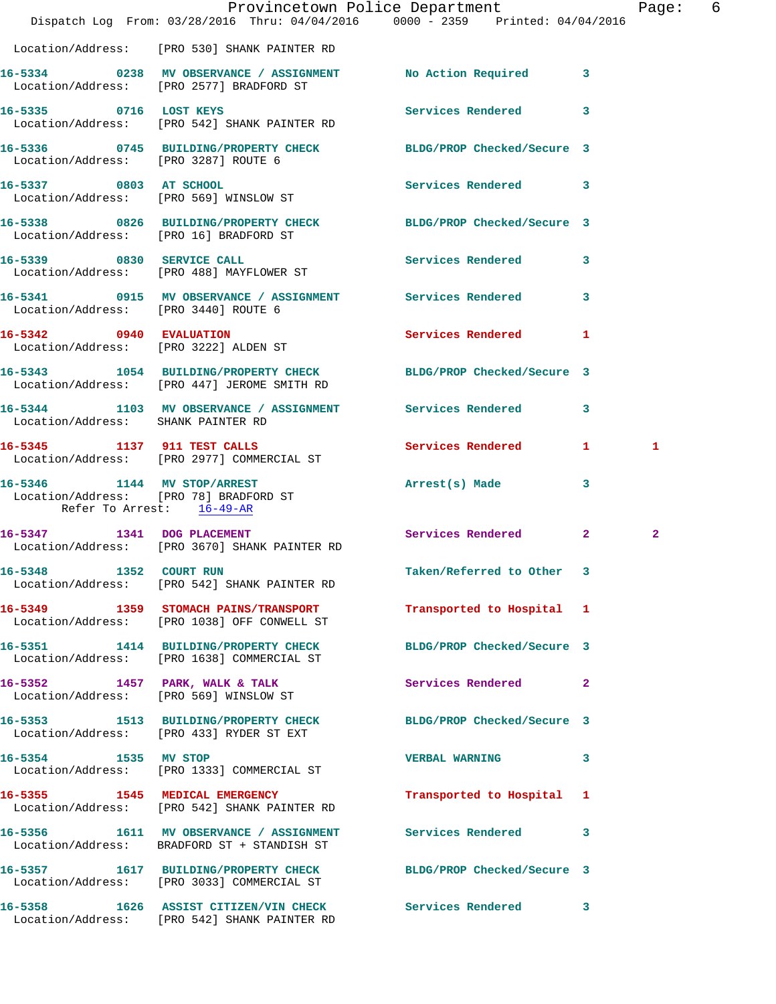|                                      | Dispatch Log From: 03/28/2016 Thru: 04/04/2016 0000 - 2359 Printed: 04/04/2016                                 | Provincetown Police Department |                         | Page: 6        |  |
|--------------------------------------|----------------------------------------------------------------------------------------------------------------|--------------------------------|-------------------------|----------------|--|
|                                      | Location/Address: [PRO 530] SHANK PAINTER RD                                                                   |                                |                         |                |  |
|                                      | 16-5334 0238 MV OBSERVANCE / ASSIGNMENT No Action Required 3<br>Location/Address: [PRO 2577] BRADFORD ST       |                                |                         |                |  |
|                                      | 16-5335 0716 LOST KEYS<br>Location/Address: [PRO 542] SHANK PAINTER RD                                         | Services Rendered 3            |                         |                |  |
| Location/Address: [PRO 3287] ROUTE 6 | 16-5336 0745 BUILDING/PROPERTY CHECK BLDG/PROP Checked/Secure 3                                                |                                |                         |                |  |
|                                      | 16-5337 0803 AT SCHOOL<br>Location/Address: [PRO 569] WINSLOW ST                                               | Services Rendered 3            |                         |                |  |
|                                      | 16-5338 0826 BUILDING/PROPERTY CHECK BLDG/PROP Checked/Secure 3<br>Location/Address: [PRO 16] BRADFORD ST      |                                |                         |                |  |
|                                      | 16-5339 0830 SERVICE CALL<br>Location/Address: [PRO 488] MAYFLOWER ST                                          | Services Rendered 3            |                         |                |  |
| Location/Address: [PRO 3440] ROUTE 6 | 16-5341 0915 MV OBSERVANCE / ASSIGNMENT Services Rendered 3                                                    |                                |                         |                |  |
| 16-5342 0940 EVALUATION              | Location/Address: [PRO 3222] ALDEN ST                                                                          | Services Rendered 1            |                         |                |  |
|                                      | 16-5343 1054 BUILDING/PROPERTY CHECK BLDG/PROP Checked/Secure 3<br>Location/Address: [PRO 447] JEROME SMITH RD |                                |                         |                |  |
| Location/Address: SHANK PAINTER RD   | 16-5344 1103 MV OBSERVANCE / ASSIGNMENT Services Rendered 3                                                    |                                |                         |                |  |
|                                      | 16-5345 1137 911 TEST CALLS<br>Location/Address: [PRO 2977] COMMERCIAL ST                                      | Services Rendered 1            |                         | 1              |  |
| Refer To Arrest: 16-49-AR            | 16-5346 1144 MV STOP/ARREST<br>Location/Address: [PRO 78] BRADFORD ST                                          | Arrest(s) Made                 | $\overline{\mathbf{3}}$ |                |  |
|                                      | 16-5347 1341 DOG PLACEMENT<br>Location/Address: [PRO 3670] SHANK PAINTER RD                                    | Services Rendered 2            |                         | $\overline{2}$ |  |
|                                      | 16-5348 1352 COURT RUN<br>Location/Address: [PRO 542] SHANK PAINTER RD                                         | Taken/Referred to Other 3      |                         |                |  |
|                                      | 16-5349 1359 STOMACH PAINS/TRANSPORT<br>Location/Address: [PRO 1038] OFF CONWELL ST                            | Transported to Hospital 1      |                         |                |  |
|                                      | 16-5351 1414 BUILDING/PROPERTY CHECK<br>Location/Address: [PRO 1638] COMMERCIAL ST                             | BLDG/PROP Checked/Secure 3     |                         |                |  |
|                                      | 16-5352 1457 PARK, WALK & TALK<br>Location/Address: [PRO 569] WINSLOW ST                                       | Services Rendered 2            |                         |                |  |
|                                      | 16-5353 1513 BUILDING/PROPERTY CHECK BLDG/PROP Checked/Secure 3<br>Location/Address: [PRO 433] RYDER ST EXT    |                                |                         |                |  |
|                                      | 16-5354 1535 MV STOP<br>Location/Address: [PRO 1333] COMMERCIAL ST                                             | VERBAL WARNING 3               |                         |                |  |
|                                      | 16-5355 1545 MEDICAL EMERGENCY<br>Location/Address: [PRO 542] SHANK PAINTER RD                                 | Transported to Hospital 1      |                         |                |  |
|                                      | 16-5356 1611 MV OBSERVANCE / ASSIGNMENT<br>Location/Address: BRADFORD ST + STANDISH ST                         | Services Rendered 3            |                         |                |  |
|                                      | 16-5357 1617 BUILDING/PROPERTY CHECK BLDG/PROP Checked/Secure 3<br>Location/Address: [PRO 3033] COMMERCIAL ST  |                                |                         |                |  |
|                                      | 16-5358 1626 ASSIST CITIZEN/VIN CHECK Services Rendered 3<br>Location/Address: [PRO 542] SHANK PAINTER RD      |                                |                         |                |  |
|                                      |                                                                                                                |                                |                         |                |  |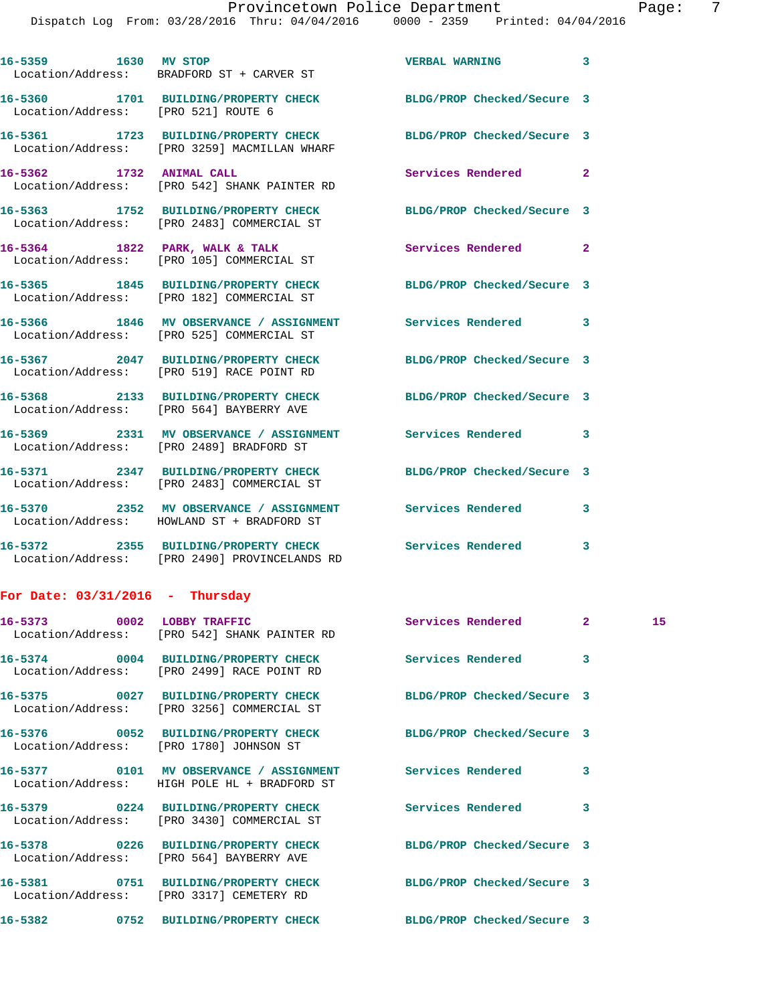| 16-5359 1630 MV STOP                | Location/Address: BRADFORD ST + CARVER ST                                                                            | <b>VERBAL WARNING</b>      | 3            |    |
|-------------------------------------|----------------------------------------------------------------------------------------------------------------------|----------------------------|--------------|----|
| Location/Address: [PRO 521] ROUTE 6 | 16-5360 1701 BUILDING/PROPERTY CHECK BLDG/PROP Checked/Secure 3                                                      |                            |              |    |
|                                     | 16-5361 1723 BUILDING/PROPERTY CHECK BLDG/PROP Checked/Secure 3<br>Location/Address: [PRO 3259] MACMILLAN WHARF      |                            |              |    |
| 16-5362 1732 ANIMAL CALL            | Location/Address: [PRO 542] SHANK PAINTER RD                                                                         | Services Rendered          | $\mathbf{2}$ |    |
|                                     | 16-5363 1752 BUILDING/PROPERTY CHECK BLDG/PROP Checked/Secure 3<br>Location/Address: [PRO 2483] COMMERCIAL ST        |                            |              |    |
|                                     | 16-5364 1822 PARK, WALK & TALK<br>Location/Address: [PRO 105] COMMERCIAL ST                                          | Services Rendered          | $\mathbf{2}$ |    |
|                                     | 16-5365   1845   BUILDING/PROPERTY CHECK   BLDG/PROP Checked/Secure   3<br>Location/Address: [PRO 182] COMMERCIAL ST |                            |              |    |
|                                     | 16-5366 1846 MV OBSERVANCE / ASSIGNMENT Services Rendered<br>Location/Address: [PRO 525] COMMERCIAL ST               |                            | 3            |    |
|                                     | 16-5367 2047 BUILDING/PROPERTY CHECK<br>Location/Address: [PRO 519] RACE POINT RD                                    | BLDG/PROP Checked/Secure 3 |              |    |
|                                     | 16-5368 2133 BUILDING/PROPERTY CHECK<br>Location/Address: [PRO 564] BAYBERRY AVE                                     | BLDG/PROP Checked/Secure 3 |              |    |
|                                     | 16-5369 2331 MV OBSERVANCE / ASSIGNMENT Services Rendered<br>Location/Address: [PRO 2489] BRADFORD ST                |                            | 3            |    |
|                                     | 16-5371 2347 BUILDING/PROPERTY CHECK<br>Location/Address: [PRO 2483] COMMERCIAL ST                                   | BLDG/PROP Checked/Secure 3 |              |    |
|                                     | 16-5370 2352 MV OBSERVANCE / ASSIGNMENT Services Rendered<br>Location/Address: HOWLAND ST + BRADFORD ST              |                            | 3            |    |
|                                     | 16-5372 2355 BUILDING/PROPERTY CHECK Services Rendered<br>Location/Address: [PRO 2490] PROVINCELANDS RD              |                            | 3            |    |
| For Date: $03/31/2016$ - Thursday   |                                                                                                                      |                            |              |    |
| 16-5373 0002 LOBBY TRAFFIC          | Location/Address: [PRO 542] SHANK PAINTER RD                                                                         |                            |              | 15 |
|                                     | 16-5374 0004 BUILDING/PROPERTY CHECK<br>Location/Address: [PRO 2499] RACE POINT RD                                   | <b>Services Rendered</b>   | 3            |    |
|                                     | 16-5375 0027 BUILDING/PROPERTY CHECK<br>Location/Address: [PRO 3256] COMMERCIAL ST                                   | BLDG/PROP Checked/Secure 3 |              |    |
|                                     | 16-5376 0052 BUILDING/PROPERTY CHECK<br>Location/Address: [PRO 1780] JOHNSON ST                                      | BLDG/PROP Checked/Secure 3 |              |    |
|                                     | 16-5377 0101 MV OBSERVANCE / ASSIGNMENT<br>Location/Address: HIGH POLE HL + BRADFORD ST                              | Services Rendered          | 3            |    |
|                                     | 16-5379 0224 BUILDING/PROPERTY CHECK<br>Location/Address: [PRO 3430] COMMERCIAL ST                                   | Services Rendered          | 3            |    |
|                                     | 16-5378 0226 BUILDING/PROPERTY CHECK<br>Location/Address: [PRO 564] BAYBERRY AVE                                     | BLDG/PROP Checked/Secure 3 |              |    |
|                                     | 16-5381 0751 BUILDING/PROPERTY CHECK<br>Location/Address: [PRO 3317] CEMETERY RD                                     | BLDG/PROP Checked/Secure 3 |              |    |
|                                     | 16-5382 0752 BUILDING/PROPERTY CHECK                                                                                 | BLDG/PROP Checked/Secure 3 |              |    |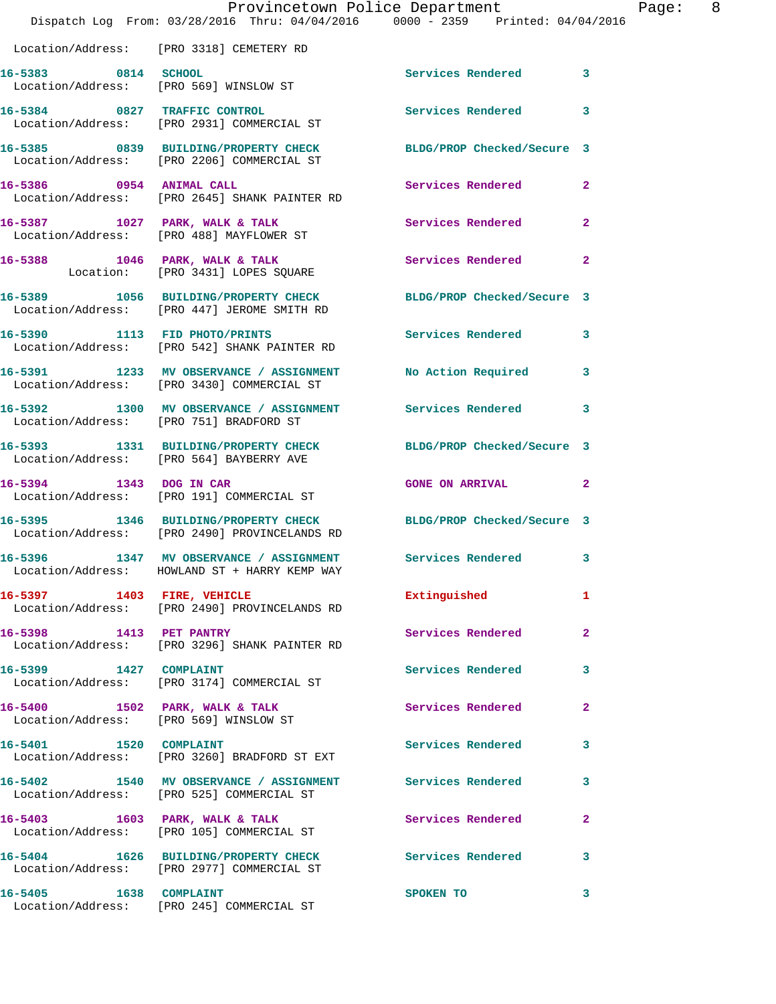|                            | Provincetown Police Department<br>Dispatch Log From: 03/28/2016 Thru: 04/04/2016 0000 - 2359 Printed: 04/04/2016 |                     | Page: 8        |
|----------------------------|------------------------------------------------------------------------------------------------------------------|---------------------|----------------|
|                            | Location/Address: [PRO 3318] CEMETERY RD                                                                         |                     |                |
| 16-5383 0814 SCHOOL        | Location/Address: [PRO 569] WINSLOW ST                                                                           | Services Rendered 3 |                |
|                            | 16-5384 0827 TRAFFIC CONTROL<br>Location/Address: [PRO 2931] COMMERCIAL ST                                       | Services Rendered 3 |                |
|                            | 16-5385 0839 BUILDING/PROPERTY CHECK BLDG/PROP Checked/Secure 3<br>Location/Address: [PRO 2206] COMMERCIAL ST    |                     |                |
|                            | 16-5386 0954 ANIMAL CALL<br>Location/Address: [PRO 2645] SHANK PAINTER RD                                        | Services Rendered   | $\mathbf{2}$   |
|                            | 16-5387 1027 PARK, WALK & TALK<br>Location/Address: [PRO 488] MAYFLOWER ST                                       | Services Rendered   | $\overline{2}$ |
|                            | 16-5388 1046 PARK, WALK & TALK<br>Location: [PRO 3431] LOPES SQUARE                                              | Services Rendered 2 |                |
|                            | 16-5389 1056 BUILDING/PROPERTY CHECK BLDG/PROP Checked/Secure 3<br>Location/Address: [PRO 447] JEROME SMITH RD   |                     |                |
|                            | 16-5390 1113 FID PHOTO/PRINTS<br>Location/Address: [PRO 542] SHANK PAINTER RD                                    | Services Rendered 3 |                |
|                            | 16-5391 1233 MV OBSERVANCE / ASSIGNMENT No Action Required 3<br>Location/Address: [PRO 3430] COMMERCIAL ST       |                     |                |
|                            | 16-5392 1300 MV OBSERVANCE / ASSIGNMENT Services Rendered 3<br>Location/Address: [PRO 751] BRADFORD ST           |                     |                |
|                            | 16-5393 1331 BUILDING/PROPERTY CHECK BLDG/PROP Checked/Secure 3<br>Location/Address: [PRO 564] BAYBERRY AVE      |                     |                |
|                            | 16-5394 1343 DOG IN CAR<br>Location/Address: [PRO 191] COMMERCIAL ST                                             | GONE ON ARRIVAL 2   |                |
|                            | 16-5395 1346 BUILDING/PROPERTY CHECK BLDG/PROP Checked/Secure 3<br>Location/Address: [PRO 2490] PROVINCELANDS RD |                     |                |
|                            | 16-5396 1347 MV OBSERVANCE / ASSIGNMENT Services Rendered 3<br>Location/Address: HOWLAND ST + HARRY KEMP WAY     |                     |                |
| 16-5397 1403 FIRE, VEHICLE | Location/Address: [PRO 2490] PROVINCELANDS RD                                                                    | Extinguished        | $\mathbf{1}$   |
|                            | 16-5398 1413 PET PANTRY<br>Location/Address: [PRO 3296] SHANK PAINTER RD                                         | Services Rendered   | $\mathbf{2}$   |
| 16-5399 1427 COMPLAINT     | Location/Address: [PRO 3174] COMMERCIAL ST                                                                       | Services Rendered 3 |                |
|                            | 16-5400 1502 PARK, WALK & TALK<br>Location/Address: [PRO 569] WINSLOW ST                                         | Services Rendered   | $\mathbf{2}$   |
| 16-5401 1520 COMPLAINT     | Location/Address: [PRO 3260] BRADFORD ST EXT                                                                     | Services Rendered 3 |                |
|                            | 16-5402 1540 MV OBSERVANCE / ASSIGNMENT Services Rendered<br>Location/Address: [PRO 525] COMMERCIAL ST           |                     | $\mathbf{3}$   |
|                            | 16-5403 1603 PARK, WALK & TALK<br>Location/Address: [PRO 105] COMMERCIAL ST                                      | Services Rendered 2 |                |
|                            | 16-5404 1626 BUILDING/PROPERTY CHECK Services Rendered 3<br>Location/Address: [PRO 2977] COMMERCIAL ST           |                     |                |
| 16-5405 1638 COMPLAINT     | Location/Address: [PRO 245] COMMERCIAL ST                                                                        | SPOKEN TO           | 3              |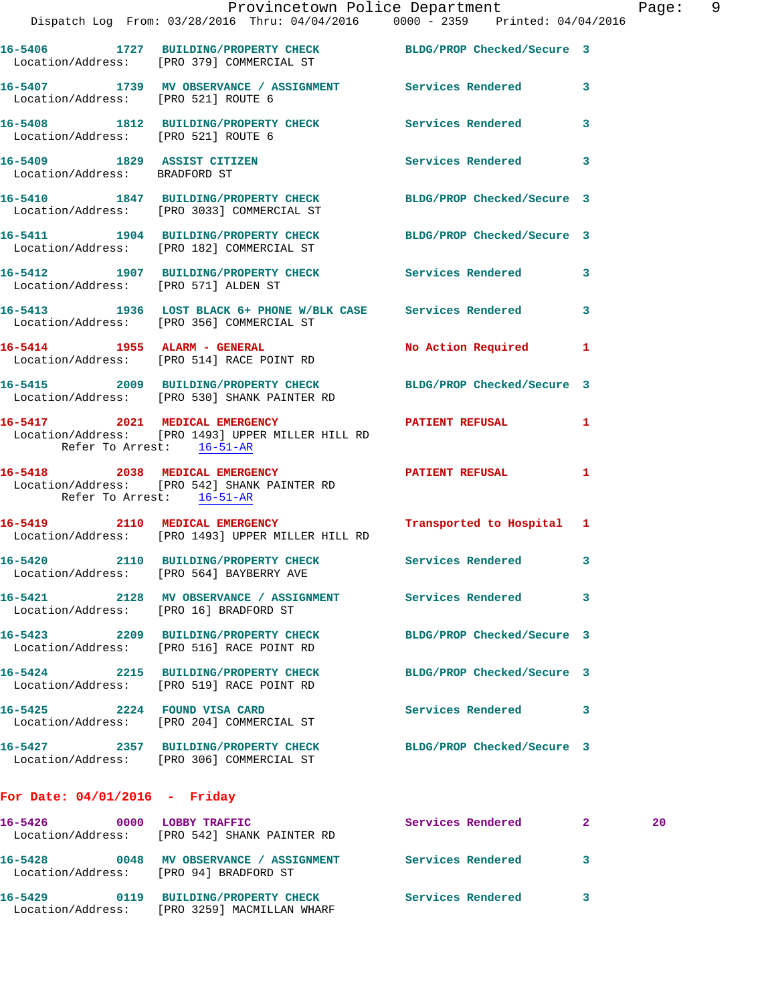|                                        | Dispatch Log From: 03/28/2016 Thru: 04/04/2016 0000 - 2359 Printed: 04/04/2016                                  | Provincetown Police Department | Page: 9 |  |
|----------------------------------------|-----------------------------------------------------------------------------------------------------------------|--------------------------------|---------|--|
|                                        | 16-5406 1727 BUILDING/PROPERTY CHECK BLDG/PROP Checked/Secure 3<br>Location/Address: [PRO 379] COMMERCIAL ST    |                                |         |  |
| Location/Address: [PRO 521] ROUTE 6    | 16-5407 1739 MV OBSERVANCE / ASSIGNMENT Services Rendered 3                                                     |                                |         |  |
|                                        | 16-5408 1812 BUILDING/PROPERTY CHECK Services Rendered 3<br>Location/Address: [PRO 521] ROUTE 6                 |                                |         |  |
| Location/Address: BRADFORD ST          | 16-5409 1829 ASSIST CITIZEN 5ervices Rendered 3                                                                 |                                |         |  |
|                                        | 16-5410 1847 BUILDING/PROPERTY CHECK BLDG/PROP Checked/Secure 3<br>Location/Address: [PRO 3033] COMMERCIAL ST   |                                |         |  |
|                                        | 16-5411 1904 BUILDING/PROPERTY CHECK BLDG/PROP Checked/Secure 3<br>Location/Address: [PRO 182] COMMERCIAL ST    |                                |         |  |
| Location/Address: [PRO 571] ALDEN ST   | 16-5412 1907 BUILDING/PROPERTY CHECK Services Rendered 3                                                        |                                |         |  |
|                                        | 16-5413 1936 LOST BLACK 6+ PHONE W/BLK CASE Services Rendered 3<br>Location/Address: [PRO 356] COMMERCIAL ST    |                                |         |  |
|                                        | 16-5414 1955 ALARM - GENERAL<br>Location/Address: [PRO 514] RACE POINT RD                                       | No Action Required 1           |         |  |
|                                        | 16-5415 2009 BUILDING/PROPERTY CHECK BLDG/PROP Checked/Secure 3<br>Location/Address: [PRO 530] SHANK PAINTER RD |                                |         |  |
| Refer To Arrest: 16-51-AR              | 16-5417 2021 MEDICAL EMERGENCY PATIENT REFUSAL 1<br>Location/Address: [PRO 1493] UPPER MILLER HILL RD           |                                |         |  |
| Refer To Arrest: 16-51-AR              | 16-5418 2038 MEDICAL EMERGENCY PATIENT REFUSAL 1<br>Location/Address: [PRO 542] SHANK PAINTER RD                |                                |         |  |
|                                        | 16-5419 2110 MEDICAL EMERGENCY<br>Location/Address: [PRO 1493] UPPER MILLER HILL RD                             | Transported to Hospital 1      |         |  |
|                                        | 16-5420 2110 BUILDING/PROPERTY CHECK Services Rendered 3<br>Location/Address: [PRO 564] BAYBERRY AVE            |                                |         |  |
| Location/Address: [PRO 16] BRADFORD ST | 16-5421 2128 MV OBSERVANCE / ASSIGNMENT Services Rendered 3                                                     |                                |         |  |
|                                        | 16-5423 2209 BUILDING/PROPERTY CHECK<br>Location/Address: [PRO 516] RACE POINT RD                               | BLDG/PROP Checked/Secure 3     |         |  |
|                                        | 16-5424 2215 BUILDING/PROPERTY CHECK<br>Location/Address: [PRO 519] RACE POINT RD                               | BLDG/PROP Checked/Secure 3     |         |  |
|                                        | 16-5425 2224 FOUND VISA CARD<br>Location/Address: [PRO 204] COMMERCIAL ST                                       | Services Rendered 3            |         |  |
|                                        | 16-5427 2357 BUILDING/PROPERTY CHECK BLDG/PROP Checked/Secure 3<br>Location/Address: [PRO 306] COMMERCIAL ST    |                                |         |  |
| For Date: $04/01/2016$ - Friday        |                                                                                                                 |                                |         |  |
| 16-5426                                | 0000 LOBBY TRAFFIC<br>Location/Address: [PRO 542] SHANK PAINTER RD                                              | Services Rendered 2            | 20      |  |

**16-5428 0048 MV OBSERVANCE / ASSIGNMENT Services Rendered 3** 

**16-5429 0119 BUILDING/PROPERTY CHECK Services Rendered 3** 

Location/Address: [PRO 94] BRADFORD ST

Location/Address: [PRO 3259] MACMILLAN WHARF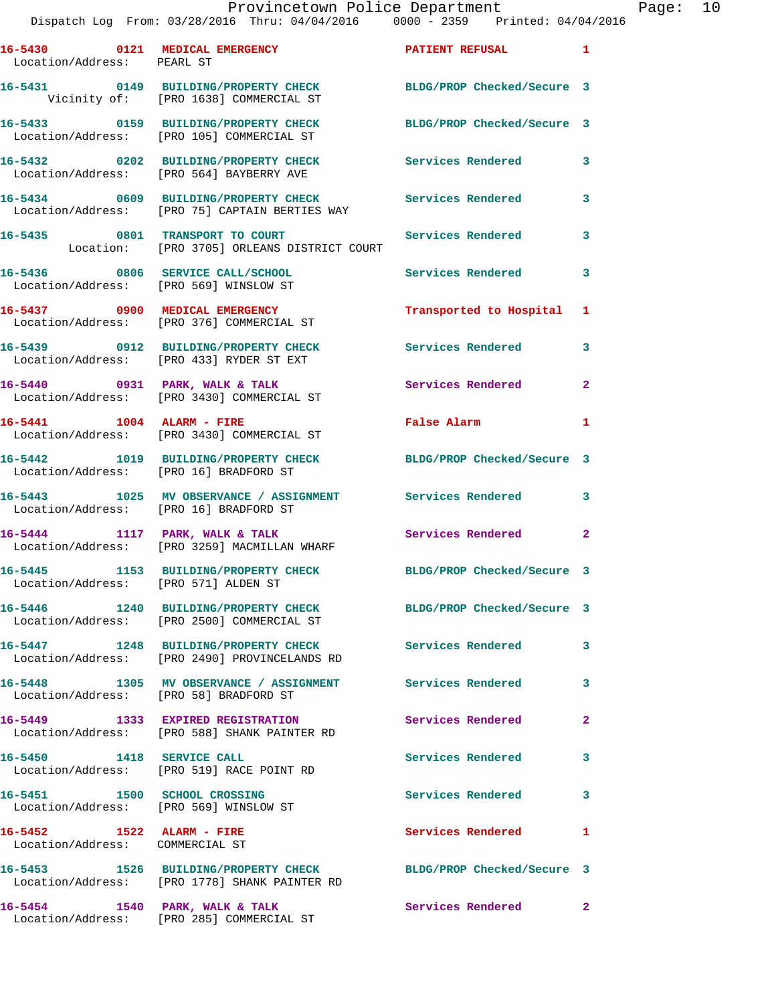## Provincetown Police Department Page: 10

Dispatch Log From: 03/28/2016 Thru: 04/04/2016 0000 - 2359 Printed: 04/04/2016

**16-5430 0121 MEDICAL EMERGENCY PATIENT REFUSAL 1**  Location/Address: PEARL ST **16-5431 0149 BUILDING/PROPERTY CHECK BLDG/PROP Checked/Secure 3**  Vicinity of: [PRO 1638] COMMERCIAL ST **16-5433 0159 BUILDING/PROPERTY CHECK BLDG/PROP Checked/Secure 3**  Location/Address: [PRO 105] COMMERCIAL ST

**16-5432 0202 BUILDING/PROPERTY CHECK Services Rendered 3**  Location/Address: [PRO 564] BAYBERRY AVE

**16-5434 0609 BUILDING/PROPERTY CHECK Services Rendered 3**  Location/Address: [PRO 75] CAPTAIN BERTIES WAY

16-5435 0801 TRANSPORT TO COURT Services Rendered 3 Location: [PRO 3705] ORLEANS DISTRICT COURT

**16-5436 0806 SERVICE CALL/SCHOOL Services Rendered 3**  Location/Address: [PRO 569] WINSLOW ST

**16-5437 0900 MEDICAL EMERGENCY Transported to Hospital 1**  Location/Address: [PRO 376] COMMERCIAL ST

Location/Address: [PRO 433] RYDER ST EXT

Location/Address: [PRO 3430] COMMERCIAL ST

Location/Address: [PRO 3430] COMMERCIAL ST

Location/Address: [PRO 16] BRADFORD ST

Location/Address: [PRO 2500] COMMERCIAL ST

Location/Address: COMMERCIAL ST

**16-5439 0912 BUILDING/PROPERTY CHECK Services Rendered 3** 

**16-5440 0931 PARK, WALK & TALK Services Rendered 2** 

**16-5441 1004 ALARM - FIRE False Alarm 1** 

**16-5442 1019 BUILDING/PROPERTY CHECK BLDG/PROP Checked/Secure 3** 

**16-5443 1025 MV OBSERVANCE / ASSIGNMENT Services Rendered 3**  Location/Address: [PRO 16] BRADFORD ST

16-5444 **1117 PARK, WALK & TALK 3** Services Rendered 2 Location/Address: [PRO 3259] MACMILLAN WHARF

**16-5445 1153 BUILDING/PROPERTY CHECK BLDG/PROP Checked/Secure 3**  Location/Address: [PRO 571] ALDEN ST

**16-5446 1240 BUILDING/PROPERTY CHECK BLDG/PROP Checked/Secure 3** 

**16-5447 1248 BUILDING/PROPERTY CHECK Services Rendered 3**  Location/Address: [PRO 2490] PROVINCELANDS RD

**16-5448 1305 MV OBSERVANCE / ASSIGNMENT Services Rendered 3**  Location/Address: [PRO 58] BRADFORD ST

**16-5449 1333 EXPIRED REGISTRATION Services Rendered 2**  Location/Address: [PRO 588] SHANK PAINTER RD

**16-5450 1418 SERVICE CALL Services Rendered 3**  Location/Address: [PRO 519] RACE POINT RD

**16-5451 1500 SCHOOL CROSSING Services Rendered 3**  Location/Address: [PRO 569] WINSLOW ST

**16-5452 1522 ALARM - FIRE Services Rendered 1** 

**16-5453 1526 BUILDING/PROPERTY CHECK BLDG/PROP Checked/Secure 3**  Location/Address: [PRO 1778] SHANK PAINTER RD

16-5454 1540 PARK, WALK & TALK **Services Rendered** 2 Location/Address: [PRO 285] COMMERCIAL ST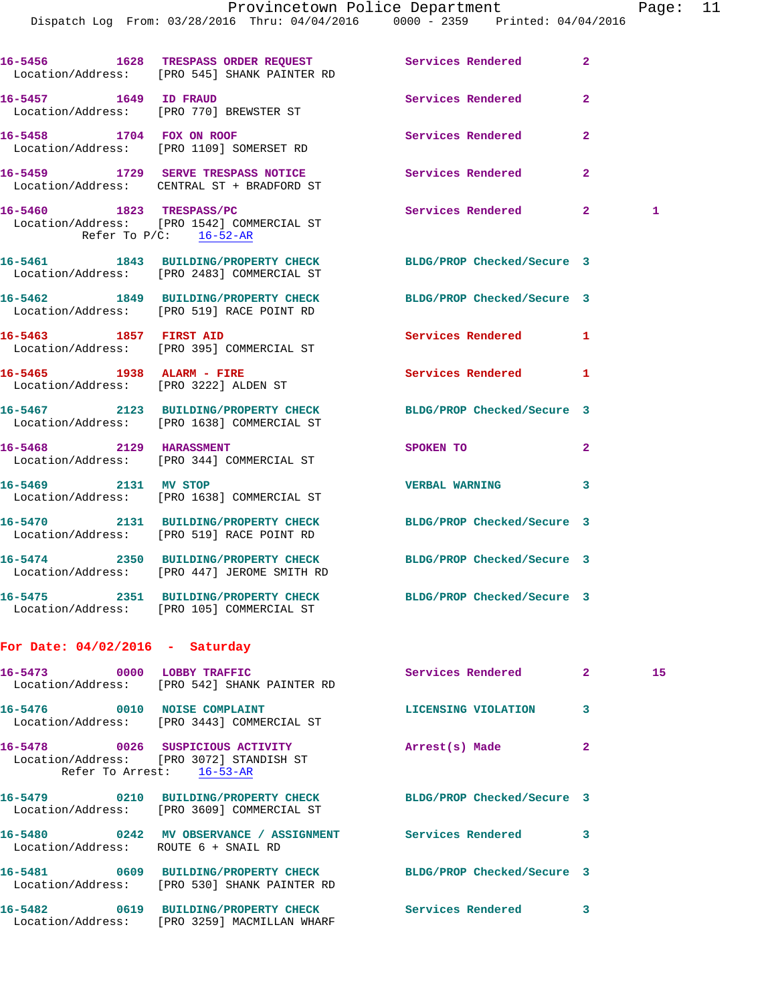|                                      | 16-5456 1628 TRESPASS ORDER REQUEST<br>Location/Address: [PRO 545] SHANK PAINTER RD                            | Services Rendered          | $\overline{2}$ |    |
|--------------------------------------|----------------------------------------------------------------------------------------------------------------|----------------------------|----------------|----|
| 16-5457 1649 ID FRAUD                | Location/Address: [PRO 770] BREWSTER ST                                                                        | Services Rendered          | $\overline{2}$ |    |
|                                      | 16-5458 1704 FOX ON ROOF<br>Location/Address: [PRO 1109] SOMERSET RD                                           | Services Rendered          | $\overline{2}$ |    |
|                                      | 16-5459 1729 SERVE TRESPASS NOTICE<br>Location/Address: CENTRAL ST + BRADFORD ST                               | Services Rendered          | $\overline{2}$ |    |
|                                      | 16-5460 1823 TRESPASS/PC<br>Location/Address: [PRO 1542] COMMERCIAL ST<br>Refer To $P/C$ : $16-52-AR$          | Services Rendered 2        |                | 1  |
|                                      | 16-5461 1843 BUILDING/PROPERTY CHECK BLDG/PROP Checked/Secure 3<br>Location/Address: [PRO 2483] COMMERCIAL ST  |                            |                |    |
|                                      | 16-5462 1849 BUILDING/PROPERTY CHECK BLDG/PROP Checked/Secure 3<br>Location/Address: [PRO 519] RACE POINT RD   |                            |                |    |
|                                      | 16-5463 1857 FIRST AID<br>Location/Address: [PRO 395] COMMERCIAL ST                                            | Services Rendered          | 1              |    |
|                                      | 16-5465 1938 ALARM - FIRE<br>Location/Address: [PRO 3222] ALDEN ST                                             | Services Rendered          | 1              |    |
|                                      | 16-5467 2123 BUILDING/PROPERTY CHECK BLDG/PROP Checked/Secure 3<br>Location/Address: [PRO 1638] COMMERCIAL ST  |                            |                |    |
|                                      | 16-5468 2129 HARASSMENT<br>Location/Address: [PRO 344] COMMERCIAL ST                                           | SPOKEN TO                  | $\overline{2}$ |    |
| 16-5469 2131 MV STOP                 | Location/Address: [PRO 1638] COMMERCIAL ST                                                                     | <b>VERBAL WARNING</b>      | 3              |    |
|                                      | 16-5470 2131 BUILDING/PROPERTY CHECK BLDG/PROP Checked/Secure 3<br>Location/Address: [PRO 519] RACE POINT RD   |                            |                |    |
|                                      | 16-5474 2350 BUILDING/PROPERTY CHECK BLDG/PROP Checked/Secure 3<br>Location/Address: [PRO 447] JEROME SMITH RD |                            |                |    |
| 16-5475                              | 2351 BUILDING/PROPERTY CHECK BLDG/PROP Checked/Secure 3<br>Location/Address: [PRO 105] COMMERCIAL ST           |                            |                |    |
| For Date: $04/02/2016$ - Saturday    |                                                                                                                |                            |                |    |
| 16-5473 0000 LOBBY TRAFFIC           | Location/Address: [PRO 542] SHANK PAINTER RD                                                                   | Services Rendered          | $\mathbf{2}$   | 15 |
|                                      | 16-5476 0010 NOISE COMPLAINT<br>Location/Address: [PRO 3443] COMMERCIAL ST                                     | LICENSING VIOLATION        | 3              |    |
|                                      | 16-5478 0026 SUSPICIOUS ACTIVITY<br>Location/Address: [PRO 3072] STANDISH ST<br>Refer To Arrest: 16-53-AR      | Arrest(s) Made             | $\overline{a}$ |    |
|                                      | 16-5479 0210 BUILDING/PROPERTY CHECK<br>Location/Address: [PRO 3609] COMMERCIAL ST                             | BLDG/PROP Checked/Secure 3 |                |    |
| Location/Address: ROUTE 6 + SNAIL RD | 16-5480 0242 MV OBSERVANCE / ASSIGNMENT                                                                        | Services Rendered          | 3              |    |
|                                      | 16-5481 0609 BUILDING/PROPERTY CHECK<br>Location/Address: [PRO 530] SHANK PAINTER RD                           | BLDG/PROP Checked/Secure 3 |                |    |
|                                      | 16-5482 0619 BUILDING/PROPERTY CHECK<br>Location/Address: [PRO 3259] MACMILLAN WHARF                           | <b>Services Rendered</b>   | 3              |    |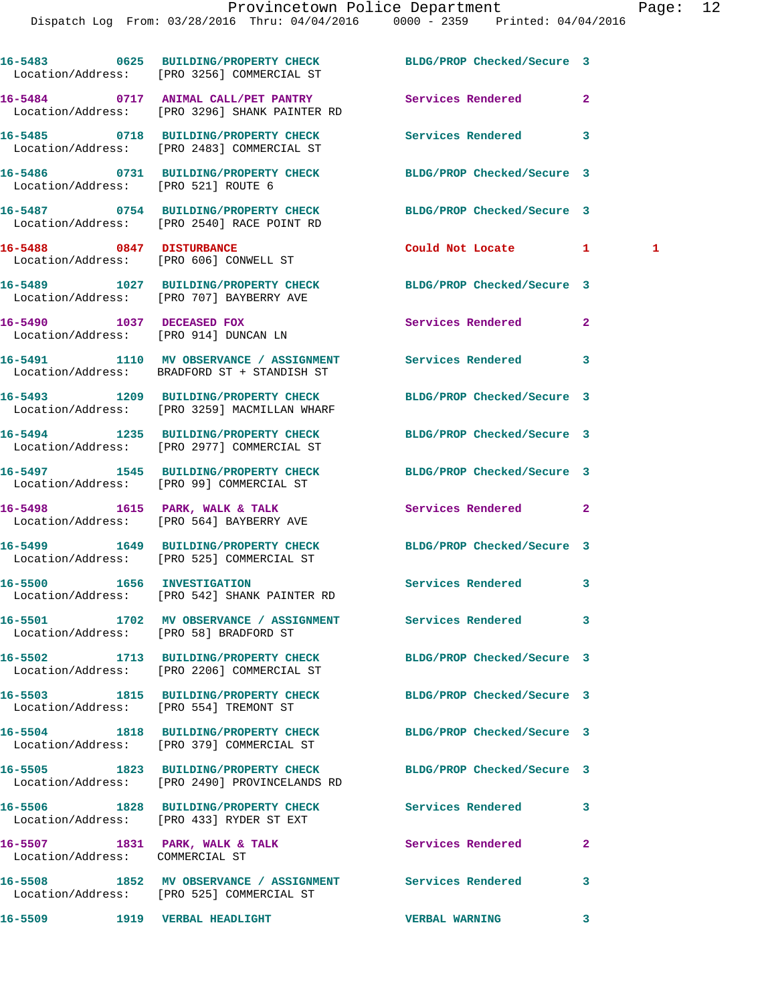|                                        | 16-5483 0625 BUILDING/PROPERTY CHECK BLDG/PROP Checked/Secure 3<br>Location/Address: [PRO 3256] COMMERCIAL ST    |                            |                |
|----------------------------------------|------------------------------------------------------------------------------------------------------------------|----------------------------|----------------|
|                                        | 16-5484 0717 ANIMAL CALL/PET PANTRY<br>Location/Address: [PRO 3296] SHANK PAINTER RD                             | Services Rendered          | $\overline{a}$ |
|                                        | 16-5485 0718 BUILDING/PROPERTY CHECK<br>Location/Address: [PRO 2483] COMMERCIAL ST                               | Services Rendered          | 3              |
| Location/Address: [PRO 521] ROUTE 6    | 16-5486 0731 BUILDING/PROPERTY CHECK BLDG/PROP Checked/Secure 3                                                  |                            |                |
|                                        | 16-5487 0754 BUILDING/PROPERTY CHECK<br>Location/Address: [PRO 2540] RACE POINT RD                               | BLDG/PROP Checked/Secure 3 |                |
| 16-5488 0847 DISTURBANCE               | Location/Address: [PRO 606] CONWELL ST                                                                           | Could Not Locate 1         | $\mathbf{1}$   |
|                                        | 16-5489 1027 BUILDING/PROPERTY CHECK BLDG/PROP Checked/Secure 3<br>Location/Address: [PRO 707] BAYBERRY AVE      |                            |                |
| 16-5490 1037 DECEASED FOX              | Location/Address: [PRO 914] DUNCAN LN                                                                            | Services Rendered          | $\mathbf{2}$   |
|                                        | 16-5491 1110 MV OBSERVANCE / ASSIGNMENT Services Rendered<br>Location/Address: BRADFORD ST + STANDISH ST         |                            | 3              |
|                                        | 16-5493 1209 BUILDING/PROPERTY CHECK<br>Location/Address: [PRO 3259] MACMILLAN WHARF                             | BLDG/PROP Checked/Secure 3 |                |
|                                        | 16-5494 1235 BUILDING/PROPERTY CHECK<br>Location/Address: [PRO 2977] COMMERCIAL ST                               | BLDG/PROP Checked/Secure 3 |                |
|                                        | 16-5497 1545 BUILDING/PROPERTY CHECK<br>Location/Address: [PRO 99] COMMERCIAL ST                                 | BLDG/PROP Checked/Secure 3 |                |
|                                        | 16-5498 1615 PARK, WALK & TALK<br>Location/Address: [PRO 564] BAYBERRY AVE                                       | Services Rendered          | $\mathbf{2}$   |
|                                        | 16-5499 1649 BUILDING/PROPERTY CHECK<br>Location/Address: [PRO 525] COMMERCIAL ST                                | BLDG/PROP Checked/Secure 3 |                |
|                                        | 16-5500 1656 INVESTIGATION<br>Location/Address: [PRO 542] SHANK PAINTER RD                                       | Services Rendered          | 3              |
| Location/Address: [PRO 58] BRADFORD ST | 16-5501 1702 MV OBSERVANCE / ASSIGNMENT Services Rendered                                                        |                            | 3              |
|                                        | 16-5502 1713 BUILDING/PROPERTY CHECK<br>Location/Address: [PRO 2206] COMMERCIAL ST                               | BLDG/PROP Checked/Secure 3 |                |
|                                        | 16-5503 1815 BUILDING/PROPERTY CHECK<br>Location/Address: [PRO 554] TREMONT ST                                   | BLDG/PROP Checked/Secure 3 |                |
|                                        | 16-5504 1818 BUILDING/PROPERTY CHECK<br>Location/Address: [PRO 379] COMMERCIAL ST                                | BLDG/PROP Checked/Secure 3 |                |
|                                        | 16-5505 1823 BUILDING/PROPERTY CHECK BLDG/PROP Checked/Secure 3<br>Location/Address: [PRO 2490] PROVINCELANDS RD |                            |                |
|                                        | 16-5506 1828 BUILDING/PROPERTY CHECK<br>Location/Address: [PRO 433] RYDER ST EXT                                 | Services Rendered          | 3              |
| Location/Address: COMMERCIAL ST        | 16-5507 1831 PARK, WALK & TALK                                                                                   | Services Rendered          | $\overline{a}$ |
|                                        | 16-5508 1852 MV OBSERVANCE / ASSIGNMENT Services Rendered<br>Location/Address: [PRO 525] COMMERCIAL ST           |                            | 3              |
| 16-5509 1919 VERBAL HEADLIGHT          |                                                                                                                  | <b>VERBAL WARNING</b>      | 3              |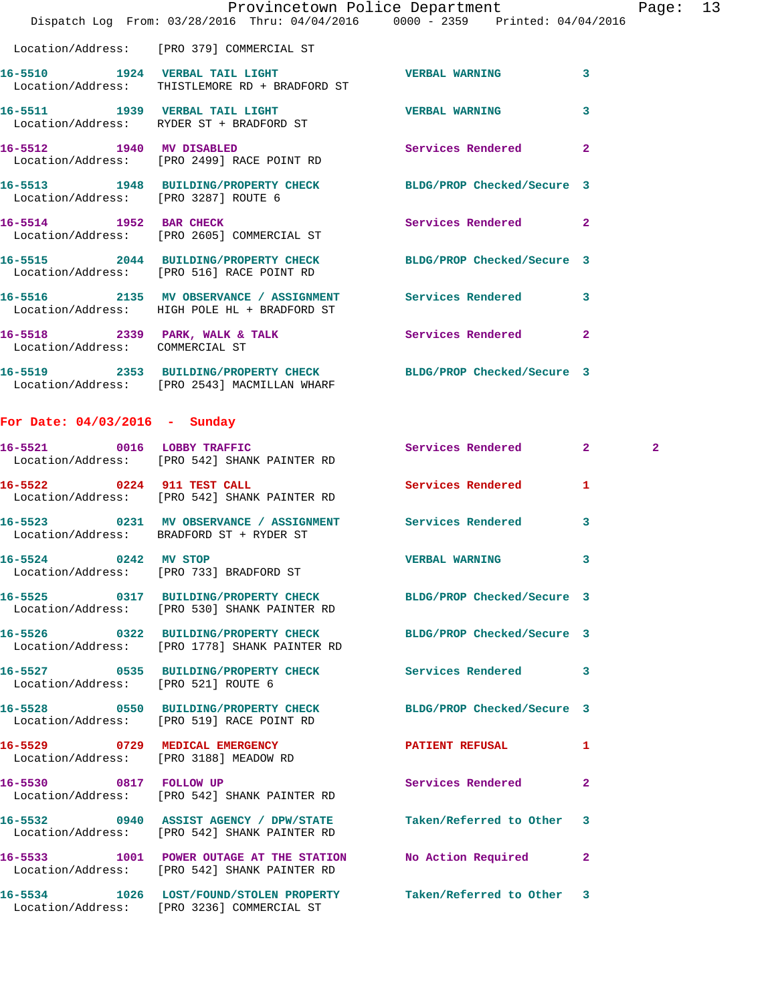|                                      | Dispatch Log From: 03/28/2016 Thru: 04/04/2016 0000 - 2359 Printed: 04/04/2016                                  | Provincetown Police Department |                | Page: 13 |  |
|--------------------------------------|-----------------------------------------------------------------------------------------------------------------|--------------------------------|----------------|----------|--|
|                                      | Location/Address: [PRO 379] COMMERCIAL ST                                                                       |                                |                |          |  |
|                                      | 16-5510 1924 VERBAL TAIL LIGHT NERBAL WERBAL WARNING<br>Location/Address: THISTLEMORE RD + BRADFORD ST          |                                | 3              |          |  |
|                                      | 16-5511 1939 VERBAL TAIL LIGHT NERBAL WERBAL WARNING<br>Location/Address: RYDER ST + BRADFORD ST                |                                | 3              |          |  |
|                                      | 16-5512 1940 MV DISABLED<br>Location/Address: [PRO 2499] RACE POINT RD                                          | <b>Services Rendered</b>       | $\overline{2}$ |          |  |
| Location/Address: [PRO 3287] ROUTE 6 | 16-5513 1948 BUILDING/PROPERTY CHECK BLDG/PROP Checked/Secure 3                                                 |                                |                |          |  |
|                                      | 16-5514 1952 BAR CHECK<br>Location/Address: [PRO 2605] COMMERCIAL ST                                            | Services Rendered              | $\overline{2}$ |          |  |
|                                      | 16-5515 2044 BUILDING/PROPERTY CHECK BLDG/PROP Checked/Secure 3<br>Location/Address: [PRO 516] RACE POINT RD    |                                |                |          |  |
|                                      | 16-5516 2135 MV OBSERVANCE / ASSIGNMENT Services Rendered<br>Location/Address: HIGH POLE HL + BRADFORD ST       |                                | 3              |          |  |
| Location/Address: COMMERCIAL ST      | 16-5518 2339 PARK, WALK & TALK Services Rendered                                                                |                                | $\mathbf{2}$   |          |  |
|                                      | 16-5519 2353 BUILDING/PROPERTY CHECK BLDG/PROP Checked/Secure 3<br>Location/Address: [PRO 2543] MACMILLAN WHARF |                                |                |          |  |

## **For Date: 04/03/2016 - Sunday**

|                                        | 16-5521 0016 LOBBY TRAFFIC<br>Location/Address: [PRO 542] SHANK PAINTER RD                                       | Services Rendered         | $\overline{\mathbf{2}}$ and $\overline{\mathbf{2}}$ and $\overline{\mathbf{2}}$ and $\overline{\mathbf{2}}$ and $\overline{\mathbf{2}}$ and $\overline{\mathbf{2}}$ and $\overline{\mathbf{2}}$ and $\overline{\mathbf{2}}$ and $\overline{\mathbf{2}}$ and $\overline{\mathbf{2}}$ and $\overline{\mathbf{2}}$ and $\overline{\mathbf{2}}$ and $\overline{\mathbf{2}}$ and $\overline{\mathbf{2}}$ a | $\overline{2}$ |
|----------------------------------------|------------------------------------------------------------------------------------------------------------------|---------------------------|-------------------------------------------------------------------------------------------------------------------------------------------------------------------------------------------------------------------------------------------------------------------------------------------------------------------------------------------------------------------------------------------------------|----------------|
|                                        | 16-5522 0224 911 TEST CALL<br>Location/Address: [PRO 542] SHANK PAINTER RD                                       | Services Rendered         | 1.                                                                                                                                                                                                                                                                                                                                                                                                    |                |
|                                        | 16-5523 0231 MV OBSERVANCE / ASSIGNMENT Services Rendered<br>Location/Address: BRADFORD ST + RYDER ST            |                           | $\overline{\mathbf{3}}$                                                                                                                                                                                                                                                                                                                                                                               |                |
| 16-5524 0242 MV STOP                   | Location/Address: [PRO 733] BRADFORD ST                                                                          | <b>VERBAL WARNING</b>     | 3                                                                                                                                                                                                                                                                                                                                                                                                     |                |
|                                        | 16-5525 0317 BUILDING/PROPERTY CHECK BLDG/PROP Checked/Secure 3<br>Location/Address: [PRO 530] SHANK PAINTER RD  |                           |                                                                                                                                                                                                                                                                                                                                                                                                       |                |
|                                        | 16-5526 0322 BUILDING/PROPERTY CHECK BLDG/PROP Checked/Secure 3<br>Location/Address: [PRO 1778] SHANK PAINTER RD |                           |                                                                                                                                                                                                                                                                                                                                                                                                       |                |
| Location/Address: [PRO 521] ROUTE 6    | 16-5527 0535 BUILDING/PROPERTY CHECK Services Rendered                                                           |                           | $\mathbf{3}$                                                                                                                                                                                                                                                                                                                                                                                          |                |
|                                        | 16-5528 0550 BUILDING/PROPERTY CHECK BLDG/PROP Checked/Secure 3<br>Location/Address: [PRO 519] RACE POINT RD     |                           |                                                                                                                                                                                                                                                                                                                                                                                                       |                |
| Location/Address: [PRO 3188] MEADOW RD |                                                                                                                  |                           | 1                                                                                                                                                                                                                                                                                                                                                                                                     |                |
|                                        | 16-5530 0817 FOLLOW UP<br>Location/Address: [PRO 542] SHANK PAINTER RD                                           | <b>Services Rendered</b>  | $\overline{a}$                                                                                                                                                                                                                                                                                                                                                                                        |                |
|                                        | 16-5532 0940 ASSIST AGENCY / DPW/STATE<br>Location/Address: [PRO 542] SHANK PAINTER RD                           | Taken/Referred to Other 3 |                                                                                                                                                                                                                                                                                                                                                                                                       |                |
|                                        | 16-5533 1001 POWER OUTAGE AT THE STATION No Action Required<br>Location/Address: [PRO 542] SHANK PAINTER RD      |                           | $\mathbf{2}$                                                                                                                                                                                                                                                                                                                                                                                          |                |
|                                        | 16-5534 1026 LOST/FOUND/STOLEN PROPERTY Taken/Referred to Other 3<br>Location/Address: [PRO 3236] COMMERCIAL ST  |                           |                                                                                                                                                                                                                                                                                                                                                                                                       |                |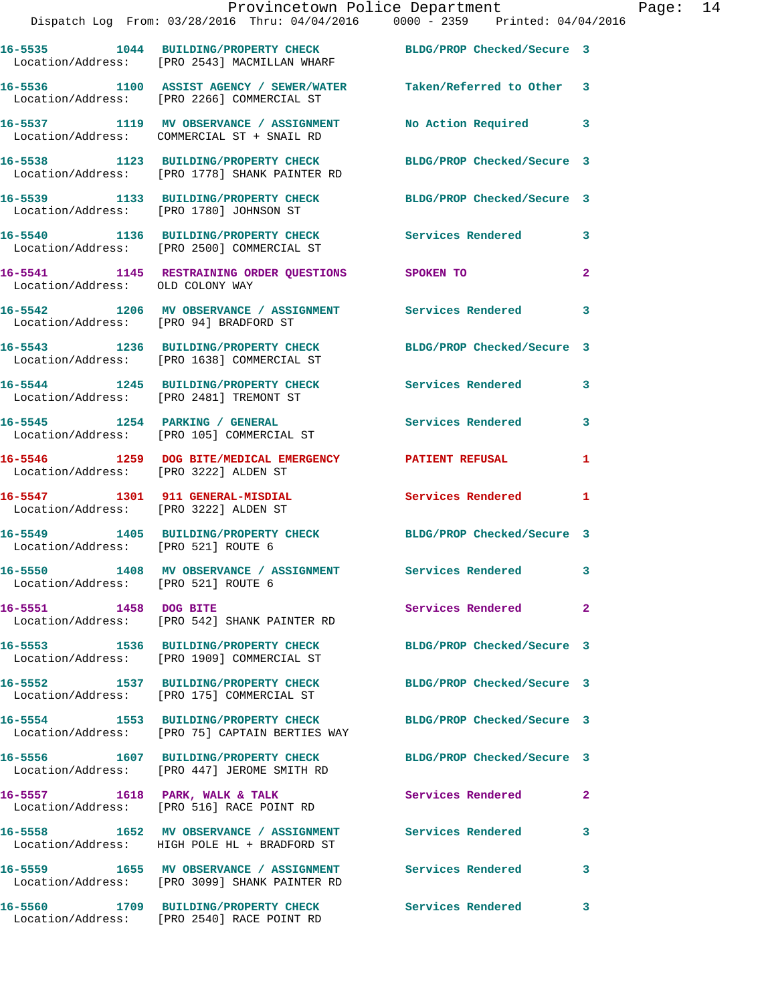|                                        | Dispatch Log From: 03/28/2016 Thru: 04/04/2016 0000 - 2359 Printed: 04/04/2016                                    | Provincetown Police Department |              | Page: 14 |  |
|----------------------------------------|-------------------------------------------------------------------------------------------------------------------|--------------------------------|--------------|----------|--|
|                                        | 16-5535 1044 BUILDING/PROPERTY CHECK BLDG/PROP Checked/Secure 3<br>Location/Address: [PRO 2543] MACMILLAN WHARF   |                                |              |          |  |
|                                        | 16-5536 1100 ASSIST AGENCY / SEWER/WATER Taken/Referred to Other 3<br>Location/Address: [PRO 2266] COMMERCIAL ST  |                                |              |          |  |
|                                        | 16-5537 1119 MV OBSERVANCE / ASSIGNMENT No Action Required 3<br>Location/Address: COMMERCIAL ST + SNAIL RD        |                                |              |          |  |
|                                        | 16-5538 1123 BUILDING/PROPERTY CHECK BLDG/PROP Checked/Secure 3<br>Location/Address: [PRO 1778] SHANK PAINTER RD  |                                |              |          |  |
|                                        | 16-5539 1133 BUILDING/PROPERTY CHECK BLDG/PROP Checked/Secure 3<br>Location/Address: [PRO 1780] JOHNSON ST        |                                |              |          |  |
|                                        | 16-5540 1136 BUILDING/PROPERTY CHECK Services Rendered 3<br>Location/Address: [PRO 2500] COMMERCIAL ST            |                                |              |          |  |
| Location/Address: OLD COLONY WAY       | 16-5541 1145 RESTRAINING ORDER QUESTIONS SPOKEN TO                                                                |                                | $\mathbf{2}$ |          |  |
| Location/Address: [PRO 94] BRADFORD ST | 16-5542 1206 MV OBSERVANCE / ASSIGNMENT Services Rendered                                                         |                                | 3            |          |  |
|                                        | 16-5543 1236 BUILDING/PROPERTY CHECK BLDG/PROP Checked/Secure 3<br>Location/Address: [PRO 1638] COMMERCIAL ST     |                                |              |          |  |
|                                        | 16-5544 1245 BUILDING/PROPERTY CHECK Services Rendered<br>Location/Address: [PRO 2481] TREMONT ST                 |                                | 3            |          |  |
|                                        | 16-5545 1254 PARKING / GENERAL Services Rendered 3<br>Location/Address: [PRO 105] COMMERCIAL ST                   |                                |              |          |  |
| Location/Address: [PRO 3222] ALDEN ST  | 16-5546 1259 DOG BITE/MEDICAL EMERGENCY PATIENT REFUSAL                                                           |                                | 1            |          |  |
|                                        | 16-5547 1301 911 GENERAL-MISDIAL 1 Services Rendered 1<br>Location/Address: [PRO 3222] ALDEN ST                   |                                |              |          |  |
| Location/Address: [PRO 521] ROUTE 6    | 16-5549 1405 BUILDING/PROPERTY CHECK BLDG/PROP Checked/Secure 3                                                   |                                |              |          |  |
| Location/Address: [PRO 521] ROUTE 6    | 16-5550 1408 MV OBSERVANCE / ASSIGNMENT Services Rendered                                                         |                                |              |          |  |
| 16-5551 1458 DOG BITE                  | Location/Address: [PRO 542] SHANK PAINTER RD                                                                      | Services Rendered              | $\mathbf{2}$ |          |  |
|                                        | 16-5553 1536 BUILDING/PROPERTY CHECK<br>Location/Address: [PRO 1909] COMMERCIAL ST                                | BLDG/PROP Checked/Secure 3     |              |          |  |
|                                        | 16-5552 1537 BUILDING/PROPERTY CHECK BLDG/PROP Checked/Secure 3<br>Location/Address: [PRO 175] COMMERCIAL ST      |                                |              |          |  |
|                                        | 16-5554 1553 BUILDING/PROPERTY CHECK BLDG/PROP Checked/Secure 3<br>Location/Address: [PRO 75] CAPTAIN BERTIES WAY |                                |              |          |  |
|                                        | 16-5556 1607 BUILDING/PROPERTY CHECK BLDG/PROP Checked/Secure 3<br>Location/Address: [PRO 447] JEROME SMITH RD    |                                |              |          |  |
|                                        | 16-5557 1618 PARK, WALK & TALK<br>Location/Address: [PRO 516] RACE POINT RD                                       | Services Rendered              | $\mathbf{2}$ |          |  |
|                                        | 16-5558 1652 MV OBSERVANCE / ASSIGNMENT Services Rendered<br>Location/Address: HIGH POLE HL + BRADFORD ST         |                                | 3            |          |  |
|                                        | 16-5559 1655 MV OBSERVANCE / ASSIGNMENT<br>Location/Address: [PRO 3099] SHANK PAINTER RD                          | Services Rendered              | 3            |          |  |
| 16-5560                                | 1709 BUILDING/PROPERTY CHECK                                                                                      | Services Rendered              | 3            |          |  |

Location/Address: [PRO 2540] RACE POINT RD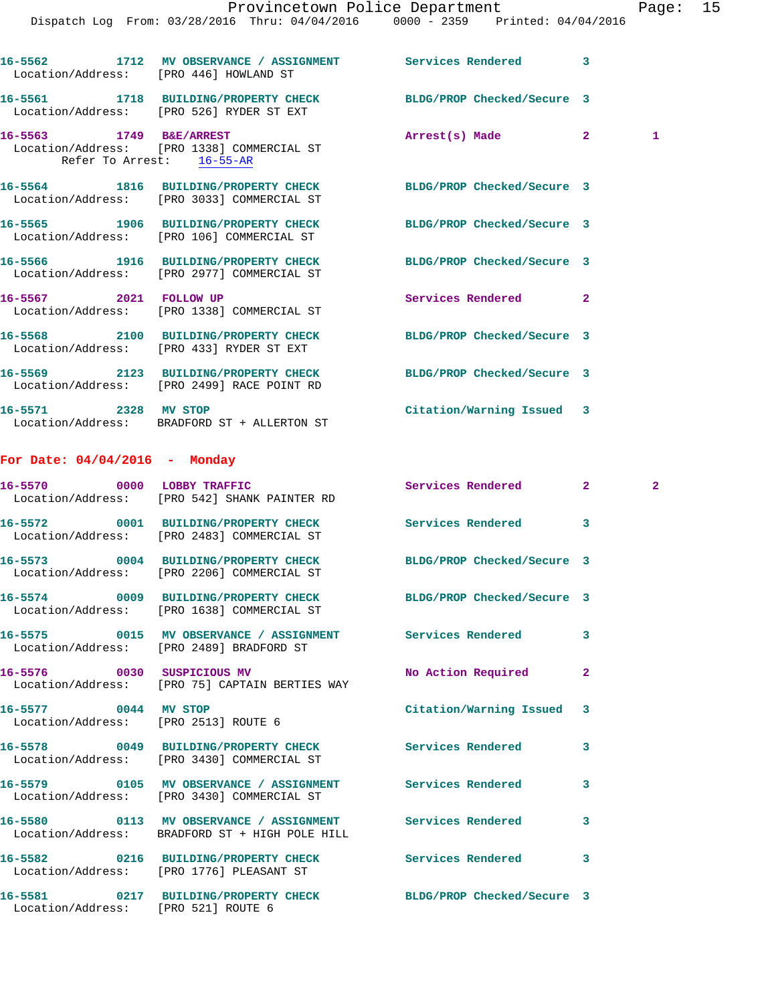|                                 | 16-5562 1712 MV OBSERVANCE / ASSIGNMENT Services Rendered<br>Location/Address: [PRO 446] HOWLAND ST           |                            | 3            |   |
|---------------------------------|---------------------------------------------------------------------------------------------------------------|----------------------------|--------------|---|
|                                 | 16-5561 1718 BUILDING/PROPERTY CHECK<br>Location/Address: [PRO 526] RYDER ST EXT                              | BLDG/PROP Checked/Secure 3 |              |   |
| Refer To Arrest: 16-55-AR       | 16-5563 1749 B&E/ARREST<br>Location/Address: [PRO 1338] COMMERCIAL ST                                         | Arrest(s) Made             | $\mathbf{2}$ | 1 |
|                                 | 16-5564 1816 BUILDING/PROPERTY CHECK BLDG/PROP Checked/Secure 3<br>Location/Address: [PRO 3033] COMMERCIAL ST |                            |              |   |
|                                 | 16-5565 1906 BUILDING/PROPERTY CHECK<br>Location/Address: [PRO 106] COMMERCIAL ST                             | BLDG/PROP Checked/Secure 3 |              |   |
|                                 | 16-5566 1916 BUILDING/PROPERTY CHECK<br>Location/Address: [PRO 2977] COMMERCIAL ST                            | BLDG/PROP Checked/Secure 3 |              |   |
|                                 | 16-5567 2021 FOLLOW UP<br>Location/Address: [PRO 1338] COMMERCIAL ST                                          | Services Rendered          | $\mathbf{2}$ |   |
|                                 | 16-5568 2100 BUILDING/PROPERTY CHECK<br>Location/Address: [PRO 433] RYDER ST EXT                              | BLDG/PROP Checked/Secure 3 |              |   |
|                                 | 16-5569 2123 BUILDING/PROPERTY CHECK<br>Location/Address: [PRO 2499] RACE POINT RD                            | BLDG/PROP Checked/Secure 3 |              |   |
| 16-5571 2328 MV STOP            | Location/Address: BRADFORD ST + ALLERTON ST                                                                   | Citation/Warning Issued 3  |              |   |
| For Date: $04/04/2016$ - Monday |                                                                                                               |                            |              |   |
|                                 | 16-5570 0000 LOBBY TRAFFIC<br>Location/Address: [PRO 542] SHANK PAINTER RD                                    | Services Rendered          | $\mathbf{2}$ | 2 |
|                                 | 16-5572 0001 BUILDING/PROPERTY CHECK<br>Location/Address: [PRO 2483] COMMERCIAL ST                            | Services Rendered          | 3            |   |
|                                 | 16-5573 0004 BUILDING/PROPERTY CHECK<br>Location/Address: [PRO 2206] COMMERCIAL ST                            | BLDG/PROP Checked/Secure 3 |              |   |
|                                 | 16-5574 0009 BUILDING/PROPERTY CHECK<br>Location/Address: [PRO 1638] COMMERCIAL ST                            | BLDG/PROP Checked/Secure 3 |              |   |
|                                 | 16-5575 0015 MV OBSERVANCE / ASSIGNMENT Services Rendered<br>Location/Address: [PRO 2489] BRADFORD ST         |                            | 3            |   |
|                                 | 16-5576 0030 SUSPICIOUS MV<br>Location/Address: [PRO 75] CAPTAIN BERTIES WAY                                  | No Action Required         | $\mathbf{2}$ |   |
| 16-5577 0044 MV STOP            | Location/Address: [PRO 2513] ROUTE 6                                                                          | Citation/Warning Issued    | 3            |   |
|                                 | 16-5578 0049 BUILDING/PROPERTY CHECK<br>Location/Address: [PRO 3430] COMMERCIAL ST                            | <b>Services Rendered</b>   | 3            |   |
|                                 | 16-5579 0105 MV OBSERVANCE / ASSIGNMENT<br>Location/Address: [PRO 3430] COMMERCIAL ST                         | Services Rendered          | 3            |   |
|                                 | 16-5580 0113 MV OBSERVANCE / ASSIGNMENT Services Rendered<br>Location/Address: BRADFORD ST + HIGH POLE HILL   |                            | 3            |   |
|                                 | 16-5582 0216 BUILDING/PROPERTY CHECK Services Rendered                                                        |                            | 3            |   |

Location/Address: [PRO 1776] PLEASANT ST

Location/Address: [PRO 521] ROUTE 6

**16-5581 0217 BUILDING/PROPERTY CHECK BLDG/PROP Checked/Secure 3**